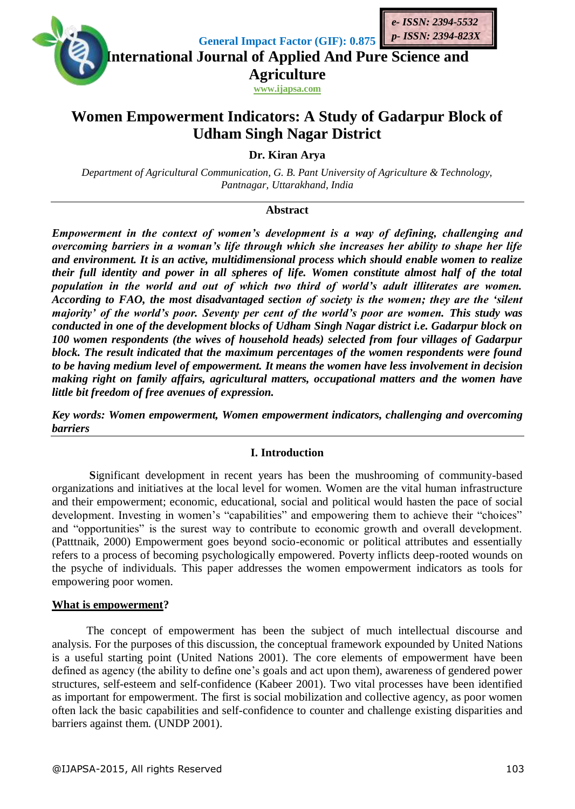



**General Impact Factor (GIF): 0.875**

**International Journal of Applied And Pure Science and Agriculture**

**www.ijapsa.com**

# **Women Empowerment Indicators: A Study of Gadarpur Block of Udham Singh Nagar District**

**Dr. Kiran Arya**

*Department of Agricultural Communication, G. B. Pant University of Agriculture & Technology, Pantnagar, Uttarakhand, India*

# **Abstract**

*Empowerment in the context of women's development is a way of defining, challenging and overcoming barriers in a woman's life through which she increases her ability to shape her life and environment. It is an active, multidimensional process which should enable women to realize their full identity and power in all spheres of life. Women constitute almost half of the total population in the world and out of which two third of world's adult illiterates are women. According to FAO, the most disadvantaged section of society is the women; they are the 'silent majority' of the world's poor. Seventy per cent of the world's poor are women. This study was conducted in one of the development blocks of Udham Singh Nagar district i.e. Gadarpur block on 100 women respondents (the wives of household heads) selected from four villages of Gadarpur block. The result indicated that the maximum percentages of the women respondents were found to be having medium level of empowerment. It means the women have less involvement in decision making right on family affairs, agricultural matters, occupational matters and the women have little bit freedom of free avenues of expression.*

*Key words: Women empowerment, Women empowerment indicators, challenging and overcoming barriers* 

# **I. Introduction**

**S**ignificant development in recent years has been the mushrooming of community-based organizations and initiatives at the local level for women. Women are the vital human infrastructure and their empowerment; economic, educational, social and political would hasten the pace of social development. Investing in women's "capabilities" and empowering them to achieve their "choices" and "opportunities" is the surest way to contribute to economic growth and overall development. (Patttnaik, 2000) Empowerment goes beyond socio-economic or political attributes and essentially refers to a process of becoming psychologically empowered. Poverty inflicts deep-rooted wounds on the psyche of individuals. This paper addresses the women empowerment indicators as tools for empowering poor women.

## **What is empowerment?**

The concept of empowerment has been the subject of much intellectual discourse and analysis. For the purposes of this discussion, the conceptual framework expounded by United Nations is a useful starting point (United Nations 2001). The core elements of empowerment have been defined as agency (the ability to define one's goals and act upon them), awareness of gendered power structures, self-esteem and self-confidence (Kabeer 2001). Two vital processes have been identified as important for empowerment. The first is social mobilization and collective agency, as poor women often lack the basic capabilities and self-confidence to counter and challenge existing disparities and barriers against them. (UNDP 2001).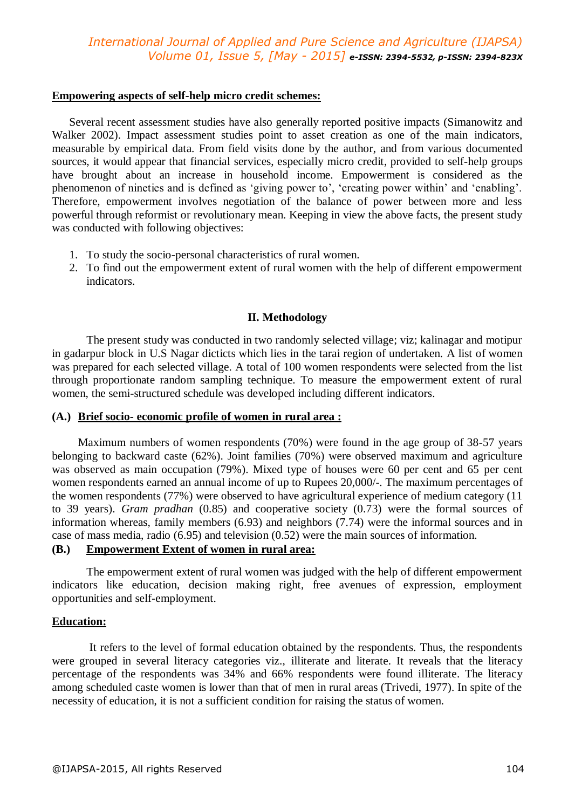# *International Journal of Applied and Pure Science and Agriculture (IJAPSA) Volume 01, Issue 5, [May - 2015] e-ISSN: 2394-5532, p-ISSN: 2394-823X*

#### **Empowering aspects of self-help micro credit schemes:**

Several recent assessment studies have also generally reported positive impacts (Simanowitz and Walker 2002). Impact assessment studies point to asset creation as one of the main indicators, measurable by empirical data. From field visits done by the author, and from various documented sources, it would appear that financial services, especially micro credit, provided to self-help groups have brought about an increase in household income. Empowerment is considered as the phenomenon of nineties and is defined as 'giving power to', 'creating power within' and 'enabling'. Therefore, empowerment involves negotiation of the balance of power between more and less powerful through reformist or revolutionary mean. Keeping in view the above facts, the present study was conducted with following objectives:

- 1. To study the socio-personal characteristics of rural women.
- 2. To find out the empowerment extent of rural women with the help of different empowerment indicators.

## **II. Methodology**

The present study was conducted in two randomly selected village; viz; kalinagar and motipur in gadarpur block in U.S Nagar dicticts which lies in the tarai region of undertaken. A list of women was prepared for each selected village. A total of 100 women respondents were selected from the list through proportionate random sampling technique. To measure the empowerment extent of rural women, the semi-structured schedule was developed including different indicators.

## **(A.) Brief socio- economic profile of women in rural area :**

Maximum numbers of women respondents (70%) were found in the age group of 38-57 years belonging to backward caste (62%). Joint families (70%) were observed maximum and agriculture was observed as main occupation (79%). Mixed type of houses were 60 per cent and 65 per cent women respondents earned an annual income of up to Rupees 20,000/-. The maximum percentages of the women respondents (77%) were observed to have agricultural experience of medium category (11 to 39 years). *Gram pradhan* (0.85) and cooperative society (0.73) were the formal sources of information whereas, family members (6.93) and neighbors (7.74) were the informal sources and in case of mass media, radio (6.95) and television (0.52) were the main sources of information.

## **(B.) Empowerment Extent of women in rural area:**

The empowerment extent of rural women was judged with the help of different empowerment indicators like education, decision making right, free avenues of expression, employment opportunities and self-employment.

## **Education:**

It refers to the level of formal education obtained by the respondents. Thus, the respondents were grouped in several literacy categories viz., illiterate and literate. It reveals that the literacy percentage of the respondents was 34% and 66% respondents were found illiterate. The literacy among scheduled caste women is lower than that of men in rural areas (Trivedi, 1977). In spite of the necessity of education, it is not a sufficient condition for raising the status of women.